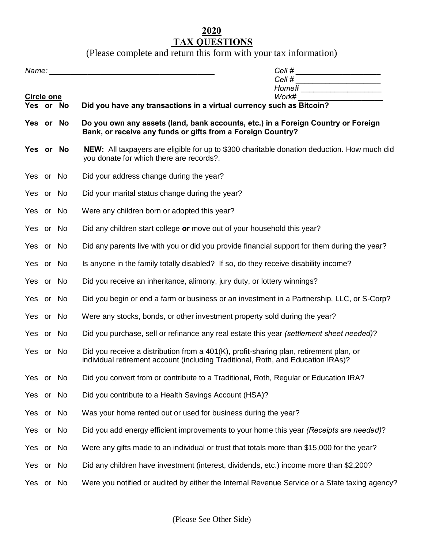## **2020 TAX QUESTIONS**

(Please complete and return this form with your tax information)

|                         |  | Cell # _______________________<br>Cell # $\frac{1}{2}$ $\frac{1}{2}$ $\frac{1}{2}$ $\frac{1}{2}$ $\frac{1}{2}$ $\frac{1}{2}$ $\frac{1}{2}$ $\frac{1}{2}$ $\frac{1}{2}$ $\frac{1}{2}$ $\frac{1}{2}$ $\frac{1}{2}$ $\frac{1}{2}$ $\frac{1}{2}$ $\frac{1}{2}$ $\frac{1}{2}$ $\frac{1}{2}$ $\frac{1}{2}$ $\frac{1}{2}$ $\frac{1}{2}$ $\frac{1}{2}$ $\frac{$<br>Home# ______________________ |  |  |  |
|-------------------------|--|-----------------------------------------------------------------------------------------------------------------------------------------------------------------------------------------------------------------------------------------------------------------------------------------------------------------------------------------------------------------------------------------|--|--|--|
| Circle one<br>Yes or No |  | Work# ________________________<br>Did you have any transactions in a virtual currency such as Bitcoin?                                                                                                                                                                                                                                                                                  |  |  |  |
| Yes or No               |  | Do you own any assets (land, bank accounts, etc.) in a Foreign Country or Foreign<br>Bank, or receive any funds or gifts from a Foreign Country?                                                                                                                                                                                                                                        |  |  |  |
| Yes or No               |  | NEW: All taxpayers are eligible for up to \$300 charitable donation deduction. How much did<br>you donate for which there are records?.                                                                                                                                                                                                                                                 |  |  |  |
| Yes or No               |  | Did your address change during the year?                                                                                                                                                                                                                                                                                                                                                |  |  |  |
| Yes or No               |  | Did your marital status change during the year?                                                                                                                                                                                                                                                                                                                                         |  |  |  |
| Yes or No               |  | Were any children born or adopted this year?                                                                                                                                                                                                                                                                                                                                            |  |  |  |
| Yes or No               |  | Did any children start college or move out of your household this year?                                                                                                                                                                                                                                                                                                                 |  |  |  |
| Yes or No               |  | Did any parents live with you or did you provide financial support for them during the year?                                                                                                                                                                                                                                                                                            |  |  |  |
| Yes or No               |  | Is anyone in the family totally disabled? If so, do they receive disability income?                                                                                                                                                                                                                                                                                                     |  |  |  |
| Yes or No               |  | Did you receive an inheritance, alimony, jury duty, or lottery winnings?                                                                                                                                                                                                                                                                                                                |  |  |  |
| Yes or No               |  | Did you begin or end a farm or business or an investment in a Partnership, LLC, or S-Corp?                                                                                                                                                                                                                                                                                              |  |  |  |
| Yes or No               |  | Were any stocks, bonds, or other investment property sold during the year?                                                                                                                                                                                                                                                                                                              |  |  |  |
| Yes or No               |  | Did you purchase, sell or refinance any real estate this year (settlement sheet needed)?                                                                                                                                                                                                                                                                                                |  |  |  |
| Yes or No               |  | Did you receive a distribution from a 401(K), profit-sharing plan, retirement plan, or<br>individual retirement account (including Traditional, Roth, and Education IRAs)?                                                                                                                                                                                                              |  |  |  |
| Yes or No               |  | Did you convert from or contribute to a Traditional, Roth, Regular or Education IRA?                                                                                                                                                                                                                                                                                                    |  |  |  |
| Yes or No               |  | Did you contribute to a Health Savings Account (HSA)?                                                                                                                                                                                                                                                                                                                                   |  |  |  |
| Yes or No               |  | Was your home rented out or used for business during the year?                                                                                                                                                                                                                                                                                                                          |  |  |  |
| Yes or No               |  | Did you add energy efficient improvements to your home this year (Receipts are needed)?                                                                                                                                                                                                                                                                                                 |  |  |  |
| Yes or No               |  | Were any gifts made to an individual or trust that totals more than \$15,000 for the year?                                                                                                                                                                                                                                                                                              |  |  |  |
| Yes or No               |  | Did any children have investment (interest, dividends, etc.) income more than \$2,200?                                                                                                                                                                                                                                                                                                  |  |  |  |
| Yes or No               |  | Were you notified or audited by either the Internal Revenue Service or a State taxing agency?                                                                                                                                                                                                                                                                                           |  |  |  |